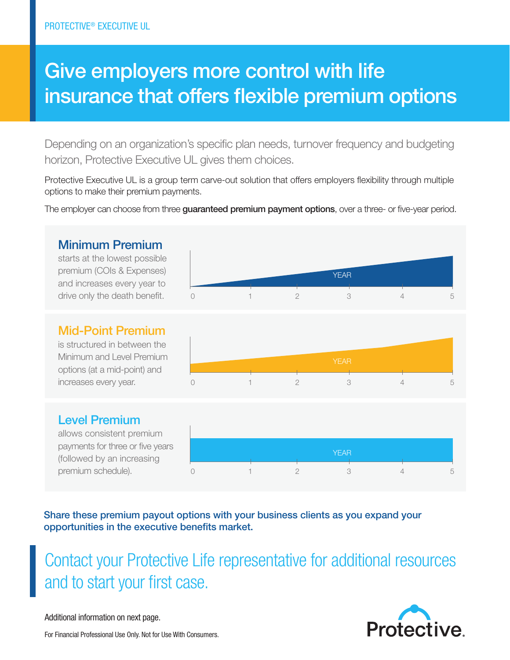# Give employers more control with life insurance that offers flexible premium options

Depending on an organization's specific plan needs, turnover frequency and budgeting horizon, Protective Executive UL gives them choices.

Protective Executive UL is a group term carve-out solution that offers employers flexibility through multiple options to make their premium payments.

The employer can choose from three guaranteed premium payment options, over a three- or five-year period.

## Minimum Premium

starts at the lowest possible premium (COIs & Expenses) and increases every year to drive only the death benefit.



#### Mid-Point Premium

is structured in between the Minimum and Level Premium options (at a mid-point) and increases every year.



### Level Premium

allows consistent premium payments for three or five years (followed by an increasing premium schedule).



Share these premium payout options with your business clients as you expand your opportunities in the executive benefits market.

Contact your Protective Life representative for additional resources and to start your first case.

Additional information on next page.



For Financial Professional Use Only. Not for Use With Consumers.